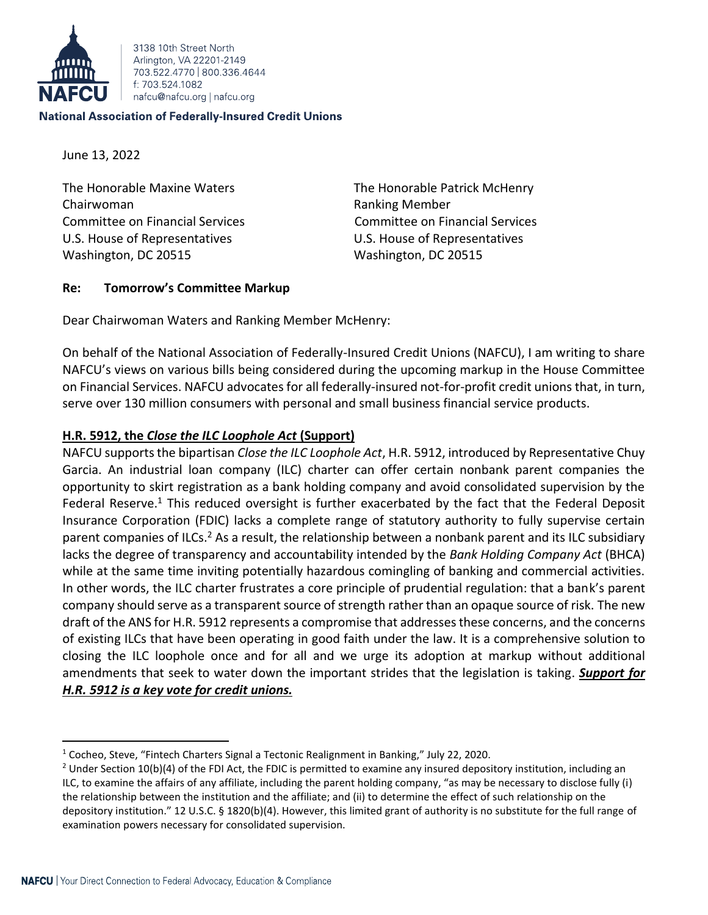

3138 10th Street North Arlington, VA 22201-2149 703 522 4770 800 336 4644 f: 703 524 1082 nafcu@nafcu.org | nafcu.org

#### **National Association of Federally-Insured Credit Unions**

June 13, 2022

The Honorable Maxine Waters The Honorable Patrick McHenry Chairwoman **Ranking Member** Ranking Member Committee on Financial Services Committee on Financial Services U.S. House of Representatives U.S. House of Representatives Washington, DC 20515 Washington, DC 20515

## **Re: Tomorrow's Committee Markup**

Dear Chairwoman Waters and Ranking Member McHenry:

On behalf of the National Association of Federally-Insured Credit Unions (NAFCU), I am writing to share NAFCU's views on various bills being considered during the upcoming markup in the House Committee on Financial Services. NAFCU advocates for all federally-insured not-for-profit credit unions that, in turn, serve over 130 million consumers with personal and small business financial service products.

# **H.R. 5912, the** *Close the ILC Loophole Act* **(Support)**

NAFCU supportsthe bipartisan *Close the ILC Loophole Act*, H.R. 5912, introduced by Representative Chuy Garcia. An industrial loan company (ILC) charter can offer certain nonbank parent companies the opportunity to skirt registration as a bank holding company and avoid consolidated supervision by the Federal Reserve.<sup>1</sup> This reduced oversight is further exacerbated by the fact that the Federal Deposit Insurance Corporation (FDIC) lacks a complete range of statutory authority to fully supervise certain parent companies of ILCs.<sup>2</sup> As a result, the relationship between a nonbank parent and its ILC subsidiary lacks the degree of transparency and accountability intended by the *Bank Holding Company Act* (BHCA) while at the same time inviting potentially hazardous comingling of banking and commercial activities. In other words, the ILC charter frustrates a core principle of prudential regulation: that a bank's parent company should serve as a transparent source of strength rather than an opaque source of risk. The new draft of the ANS for H.R. 5912 represents a compromise that addresses these concerns, and the concerns of existing ILCs that have been operating in good faith under the law. It is a comprehensive solution to closing the ILC loophole once and for all and we urge its adoption at markup without additional amendments that seek to water down the important strides that the legislation is taking. *Support for H.R. 5912 is a key vote for credit unions.*

<sup>1</sup> Cocheo, Steve, "Fintech Charters Signal a Tectonic Realignment in Banking," July 22, 2020.

<sup>&</sup>lt;sup>2</sup> Under Section 10(b)(4) of the FDI Act, the FDIC is permitted to examine any insured depository institution, including an ILC, to examine the affairs of any affiliate, including the parent holding company, "as may be necessary to disclose fully (i) the relationship between the institution and the affiliate; and (ii) to determine the effect of such relationship on the depository institution." 12 U.S.C. § 1820(b)(4). However, this limited grant of authority is no substitute for the full range of examination powers necessary for consolidated supervision.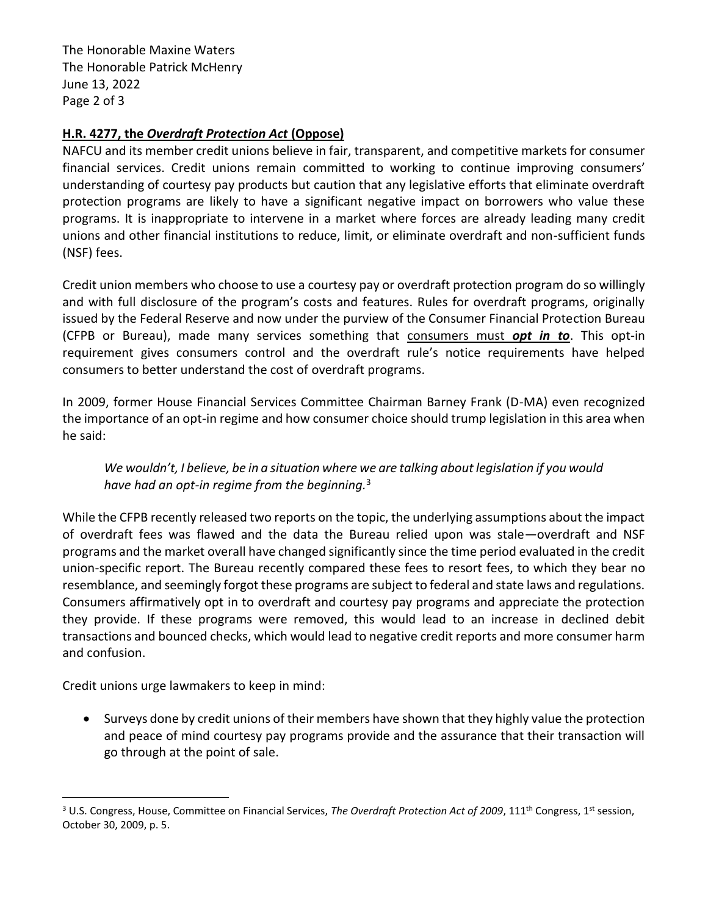The Honorable Maxine Waters The Honorable Patrick McHenry June 13, 2022 Page 2 of 3

# **H.R. 4277, the** *Overdraft Protection Act* **(Oppose)**

NAFCU and its member credit unions believe in fair, transparent, and competitive markets for consumer financial services. Credit unions remain committed to working to continue improving consumers' understanding of courtesy pay products but caution that any legislative efforts that eliminate overdraft protection programs are likely to have a significant negative impact on borrowers who value these programs. It is inappropriate to intervene in a market where forces are already leading many credit unions and other financial institutions to reduce, limit, or eliminate overdraft and non-sufficient funds (NSF) fees.

Credit union members who choose to use a courtesy pay or overdraft protection program do so willingly and with full disclosure of the program's costs and features. Rules for overdraft programs, originally issued by the Federal Reserve and now under the purview of the Consumer Financial Protection Bureau (CFPB or Bureau), made many services something that consumers must *opt in to*. This opt-in requirement gives consumers control and the overdraft rule's notice requirements have helped consumers to better understand the cost of overdraft programs.

In 2009, former House Financial Services Committee Chairman Barney Frank (D-MA) even recognized the importance of an opt-in regime and how consumer choice should trump legislation in this area when he said:

*We wouldn't, I believe, be in a situation where we are talking about legislation if you would have had an opt-in regime from the beginning.*<sup>3</sup>

While the CFPB recently released two reports on the topic, the underlying assumptions about the impact of overdraft fees was flawed and the data the Bureau relied upon was stale—overdraft and NSF programs and the market overall have changed significantly since the time period evaluated in the credit union-specific report. The Bureau recently compared these fees to resort fees, to which they bear no resemblance, and seemingly forgot these programs are subject to federal and state laws and regulations. Consumers affirmatively opt in to overdraft and courtesy pay programs and appreciate the protection they provide. If these programs were removed, this would lead to an increase in declined debit transactions and bounced checks, which would lead to negative credit reports and more consumer harm and confusion.

Credit unions urge lawmakers to keep in mind:

• Surveys done by credit unions of their members have shown that they highly value the protection and peace of mind courtesy pay programs provide and the assurance that their transaction will go through at the point of sale.

<sup>&</sup>lt;sup>3</sup> U.S. Congress, House, Committee on Financial Services, *The Overdraft Protection Act of 2009*, 111<sup>th</sup> Congress, 1<sup>st</sup> session, October 30, 2009, p. 5.